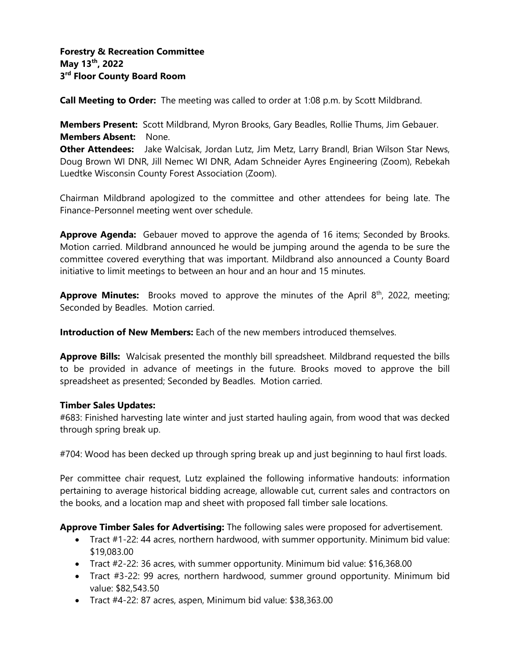**Call Meeting to Order:** The meeting was called to order at 1:08 p.m. by Scott Mildbrand.

**Members Present:** Scott Mildbrand, Myron Brooks, Gary Beadles, Rollie Thums, Jim Gebauer. **Members Absent:** None.

**Other Attendees:** Jake Walcisak, Jordan Lutz, Jim Metz, Larry Brandl, Brian Wilson Star News, Doug Brown WI DNR, Jill Nemec WI DNR, Adam Schneider Ayres Engineering (Zoom), Rebekah Luedtke Wisconsin County Forest Association (Zoom).

Chairman Mildbrand apologized to the committee and other attendees for being late. The Finance-Personnel meeting went over schedule.

**Approve Agenda:** Gebauer moved to approve the agenda of 16 items; Seconded by Brooks. Motion carried. Mildbrand announced he would be jumping around the agenda to be sure the committee covered everything that was important. Mildbrand also announced a County Board initiative to limit meetings to between an hour and an hour and 15 minutes.

**Approve Minutes:** Brooks moved to approve the minutes of the April 8<sup>th</sup>, 2022, meeting; Seconded by Beadles. Motion carried.

**Introduction of New Members:** Each of the new members introduced themselves.

**Approve Bills:** Walcisak presented the monthly bill spreadsheet. Mildbrand requested the bills to be provided in advance of meetings in the future. Brooks moved to approve the bill spreadsheet as presented; Seconded by Beadles. Motion carried.

#### **Timber Sales Updates:**

#683: Finished harvesting late winter and just started hauling again, from wood that was decked through spring break up.

#704: Wood has been decked up through spring break up and just beginning to haul first loads.

Per committee chair request, Lutz explained the following informative handouts: information pertaining to average historical bidding acreage, allowable cut, current sales and contractors on the books, and a location map and sheet with proposed fall timber sale locations.

**Approve Timber Sales for Advertising:** The following sales were proposed for advertisement.

- Tract #1-22: 44 acres, northern hardwood, with summer opportunity. Minimum bid value: \$19,083.00
- Tract #2-22: 36 acres, with summer opportunity. Minimum bid value: \$16,368.00
- Tract #3-22: 99 acres, northern hardwood, summer ground opportunity. Minimum bid value: \$82,543.50
- Tract #4-22: 87 acres, aspen, Minimum bid value: \$38,363.00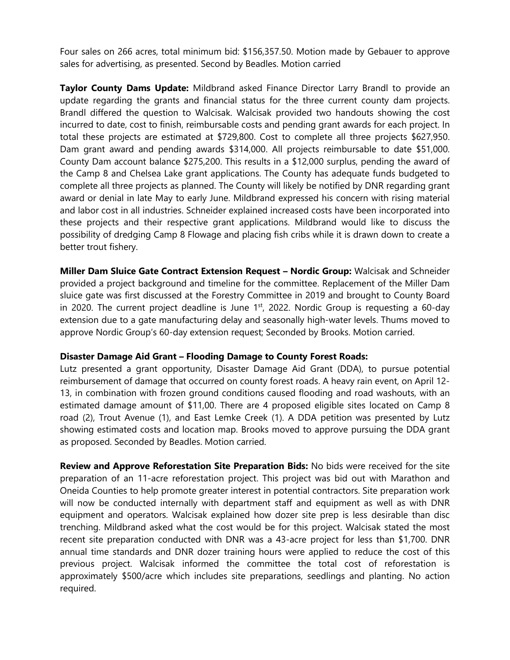Four sales on 266 acres, total minimum bid: \$156,357.50. Motion made by Gebauer to approve sales for advertising, as presented. Second by Beadles. Motion carried

**Taylor County Dams Update:** Mildbrand asked Finance Director Larry Brandl to provide an update regarding the grants and financial status for the three current county dam projects. Brandl differed the question to Walcisak. Walcisak provided two handouts showing the cost incurred to date, cost to finish, reimbursable costs and pending grant awards for each project. In total these projects are estimated at \$729,800. Cost to complete all three projects \$627,950. Dam grant award and pending awards \$314,000. All projects reimbursable to date \$51,000. County Dam account balance \$275,200. This results in a \$12,000 surplus, pending the award of the Camp 8 and Chelsea Lake grant applications. The County has adequate funds budgeted to complete all three projects as planned. The County will likely be notified by DNR regarding grant award or denial in late May to early June. Mildbrand expressed his concern with rising material and labor cost in all industries. Schneider explained increased costs have been incorporated into these projects and their respective grant applications. Mildbrand would like to discuss the possibility of dredging Camp 8 Flowage and placing fish cribs while it is drawn down to create a better trout fishery.

**Miller Dam Sluice Gate Contract Extension Request – Nordic Group:** Walcisak and Schneider provided a project background and timeline for the committee. Replacement of the Miller Dam sluice gate was first discussed at the Forestry Committee in 2019 and brought to County Board in 2020. The current project deadline is June  $1<sup>st</sup>$ , 2022. Nordic Group is requesting a 60-day extension due to a gate manufacturing delay and seasonally high-water levels. Thums moved to approve Nordic Group's 60-day extension request; Seconded by Brooks. Motion carried.

#### **Disaster Damage Aid Grant – Flooding Damage to County Forest Roads:**

Lutz presented a grant opportunity, Disaster Damage Aid Grant (DDA), to pursue potential reimbursement of damage that occurred on county forest roads. A heavy rain event, on April 12- 13, in combination with frozen ground conditions caused flooding and road washouts, with an estimated damage amount of \$11,00. There are 4 proposed eligible sites located on Camp 8 road (2), Trout Avenue (1), and East Lemke Creek (1). A DDA petition was presented by Lutz showing estimated costs and location map. Brooks moved to approve pursuing the DDA grant as proposed. Seconded by Beadles. Motion carried.

**Review and Approve Reforestation Site Preparation Bids:** No bids were received for the site preparation of an 11-acre reforestation project. This project was bid out with Marathon and Oneida Counties to help promote greater interest in potential contractors. Site preparation work will now be conducted internally with department staff and equipment as well as with DNR equipment and operators. Walcisak explained how dozer site prep is less desirable than disc trenching. Mildbrand asked what the cost would be for this project. Walcisak stated the most recent site preparation conducted with DNR was a 43-acre project for less than \$1,700. DNR annual time standards and DNR dozer training hours were applied to reduce the cost of this previous project. Walcisak informed the committee the total cost of reforestation is approximately \$500/acre which includes site preparations, seedlings and planting. No action required.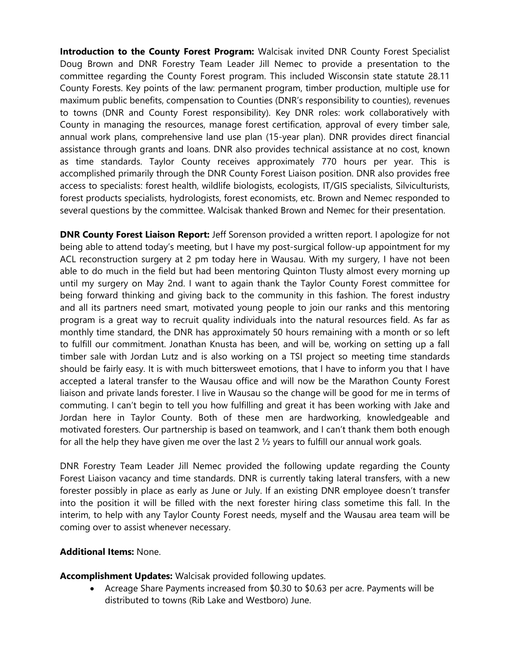**Introduction to the County Forest Program:** Walcisak invited DNR County Forest Specialist Doug Brown and DNR Forestry Team Leader Jill Nemec to provide a presentation to the committee regarding the County Forest program. This included Wisconsin state statute 28.11 County Forests. Key points of the law: permanent program, timber production, multiple use for maximum public benefits, compensation to Counties (DNR's responsibility to counties), revenues to towns (DNR and County Forest responsibility). Key DNR roles: work collaboratively with County in managing the resources, manage forest certification, approval of every timber sale, annual work plans, comprehensive land use plan (15-year plan). DNR provides direct financial assistance through grants and loans. DNR also provides technical assistance at no cost, known as time standards. Taylor County receives approximately 770 hours per year. This is accomplished primarily through the DNR County Forest Liaison position. DNR also provides free access to specialists: forest health, wildlife biologists, ecologists, IT/GIS specialists, Silviculturists, forest products specialists, hydrologists, forest economists, etc. Brown and Nemec responded to several questions by the committee. Walcisak thanked Brown and Nemec for their presentation.

**DNR County Forest Liaison Report:** Jeff Sorenson provided a written report. I apologize for not being able to attend today's meeting, but I have my post-surgical follow-up appointment for my ACL reconstruction surgery at 2 pm today here in Wausau. With my surgery, I have not been able to do much in the field but had been mentoring Quinton Tlusty almost every morning up until my surgery on May 2nd. I want to again thank the Taylor County Forest committee for being forward thinking and giving back to the community in this fashion. The forest industry and all its partners need smart, motivated young people to join our ranks and this mentoring program is a great way to recruit quality individuals into the natural resources field. As far as monthly time standard, the DNR has approximately 50 hours remaining with a month or so left to fulfill our commitment. Jonathan Knusta has been, and will be, working on setting up a fall timber sale with Jordan Lutz and is also working on a TSI project so meeting time standards should be fairly easy. It is with much bittersweet emotions, that I have to inform you that I have accepted a lateral transfer to the Wausau office and will now be the Marathon County Forest liaison and private lands forester. I live in Wausau so the change will be good for me in terms of commuting. I can't begin to tell you how fulfilling and great it has been working with Jake and Jordan here in Taylor County. Both of these men are hardworking, knowledgeable and motivated foresters. Our partnership is based on teamwork, and I can't thank them both enough for all the help they have given me over the last  $2\frac{1}{2}$  years to fulfill our annual work goals.

DNR Forestry Team Leader Jill Nemec provided the following update regarding the County Forest Liaison vacancy and time standards. DNR is currently taking lateral transfers, with a new forester possibly in place as early as June or July. If an existing DNR employee doesn't transfer into the position it will be filled with the next forester hiring class sometime this fall. In the interim, to help with any Taylor County Forest needs, myself and the Wausau area team will be coming over to assist whenever necessary.

## **Additional Items:** None.

**Accomplishment Updates:** Walcisak provided following updates.

• Acreage Share Payments increased from \$0.30 to \$0.63 per acre. Payments will be distributed to towns (Rib Lake and Westboro) June.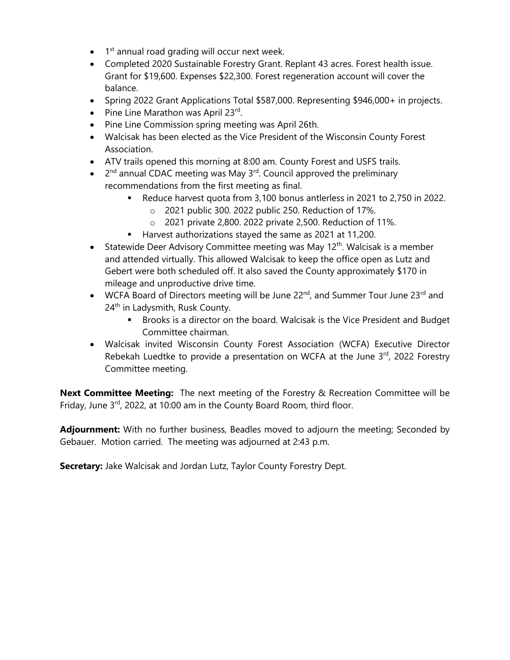- $\bullet$  1<sup>st</sup> annual road grading will occur next week.
- Completed 2020 Sustainable Forestry Grant. Replant 43 acres. Forest health issue. Grant for \$19,600. Expenses \$22,300. Forest regeneration account will cover the balance.
- Spring 2022 Grant Applications Total \$587,000. Representing \$946,000+ in projects.
- Pine Line Marathon was April 23rd.
- Pine Line Commission spring meeting was April 26th.
- Walcisak has been elected as the Vice President of the Wisconsin County Forest Association.
- ATV trails opened this morning at 8:00 am. County Forest and USFS trails.
- $\bullet$  2<sup>nd</sup> annual CDAC meeting was May 3<sup>rd</sup>. Council approved the preliminary recommendations from the first meeting as final.
	- Reduce harvest quota from 3,100 bonus antlerless in 2021 to 2,750 in 2022.
		- o 2021 public 300. 2022 public 250. Reduction of 17%.
		- o 2021 private 2,800. 2022 private 2,500. Reduction of 11%.
	- Harvest authorizations stayed the same as 2021 at 11,200.
- Statewide Deer Advisory Committee meeting was May  $12<sup>th</sup>$ . Walcisak is a member and attended virtually. This allowed Walcisak to keep the office open as Lutz and Gebert were both scheduled off. It also saved the County approximately \$170 in mileage and unproductive drive time.
- WCFA Board of Directors meeting will be June  $22^{nd}$ , and Summer Tour June  $23^{rd}$  and 24<sup>th</sup> in Ladysmith, Rusk County.
	- **EXEDENT** Brooks is a director on the board. Walcisak is the Vice President and Budget Committee chairman.
- Walcisak invited Wisconsin County Forest Association (WCFA) Executive Director Rebekah Luedtke to provide a presentation on WCFA at the June 3<sup>rd</sup>, 2022 Forestry Committee meeting.

**Next Committee Meeting:** The next meeting of the Forestry & Recreation Committee will be Friday, June  $3^{rd}$ , 2022, at 10:00 am in the County Board Room, third floor.

**Adjournment:** With no further business, Beadles moved to adjourn the meeting; Seconded by Gebauer. Motion carried. The meeting was adjourned at 2:43 p.m.

**Secretary:** Jake Walcisak and Jordan Lutz, Taylor County Forestry Dept.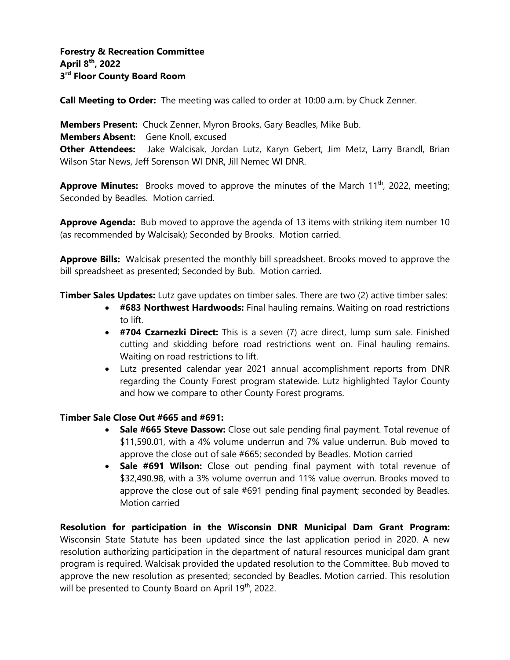**Call Meeting to Order:** The meeting was called to order at 10:00 a.m. by Chuck Zenner.

**Members Present:** Chuck Zenner, Myron Brooks, Gary Beadles, Mike Bub. **Members Absent:** Gene Knoll, excused **Other Attendees:** Jake Walcisak, Jordan Lutz, Karyn Gebert, Jim Metz, Larry Brandl, Brian Wilson Star News, Jeff Sorenson WI DNR, Jill Nemec WI DNR.

**Approve Minutes:** Brooks moved to approve the minutes of the March 11<sup>th</sup>, 2022, meeting; Seconded by Beadles. Motion carried.

**Approve Agenda:** Bub moved to approve the agenda of 13 items with striking item number 10 (as recommended by Walcisak); Seconded by Brooks. Motion carried.

**Approve Bills:** Walcisak presented the monthly bill spreadsheet. Brooks moved to approve the bill spreadsheet as presented; Seconded by Bub. Motion carried.

**Timber Sales Updates:** Lutz gave updates on timber sales. There are two (2) active timber sales:

- **#683 Northwest Hardwoods:** Final hauling remains. Waiting on road restrictions to lift.
- **#704 Czarnezki Direct:** This is a seven (7) acre direct, lump sum sale. Finished cutting and skidding before road restrictions went on. Final hauling remains. Waiting on road restrictions to lift.
- Lutz presented calendar year 2021 annual accomplishment reports from DNR regarding the County Forest program statewide. Lutz highlighted Taylor County and how we compare to other County Forest programs.

## **Timber Sale Close Out #665 and #691:**

- **Sale #665 Steve Dassow:** Close out sale pending final payment. Total revenue of \$11,590.01, with a 4% volume underrun and 7% value underrun. Bub moved to approve the close out of sale #665; seconded by Beadles. Motion carried
- **Sale #691 Wilson:** Close out pending final payment with total revenue of \$32,490.98, with a 3% volume overrun and 11% value overrun. Brooks moved to approve the close out of sale #691 pending final payment; seconded by Beadles. Motion carried

**Resolution for participation in the Wisconsin DNR Municipal Dam Grant Program:** Wisconsin State Statute has been updated since the last application period in 2020. A new resolution authorizing participation in the department of natural resources municipal dam grant program is required. Walcisak provided the updated resolution to the Committee. Bub moved to approve the new resolution as presented; seconded by Beadles. Motion carried. This resolution will be presented to County Board on April 19<sup>th</sup>, 2022.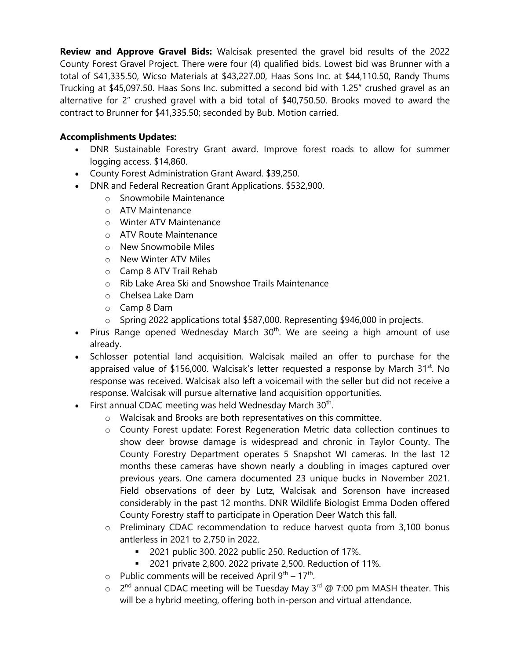**Review and Approve Gravel Bids:** Walcisak presented the gravel bid results of the 2022 County Forest Gravel Project. There were four (4) qualified bids. Lowest bid was Brunner with a total of \$41,335.50, Wicso Materials at \$43,227.00, Haas Sons Inc. at \$44,110.50, Randy Thums Trucking at \$45,097.50. Haas Sons Inc. submitted a second bid with 1.25" crushed gravel as an alternative for 2" crushed gravel with a bid total of \$40,750.50. Brooks moved to award the contract to Brunner for \$41,335.50; seconded by Bub. Motion carried.

## **Accomplishments Updates:**

- DNR Sustainable Forestry Grant award. Improve forest roads to allow for summer logging access. \$14,860.
- County Forest Administration Grant Award. \$39,250.
- DNR and Federal Recreation Grant Applications. \$532,900.
	- o Snowmobile Maintenance
	- o ATV Maintenance
	- o Winter ATV Maintenance
	- o ATV Route Maintenance
	- o New Snowmobile Miles
	- o New Winter ATV Miles
	- o Camp 8 ATV Trail Rehab
	- o Rib Lake Area Ski and Snowshoe Trails Maintenance
	- o Chelsea Lake Dam
	- o Camp 8 Dam
	- o Spring 2022 applications total \$587,000. Representing \$946,000 in projects.
- Pirus Range opened Wednesday March  $30<sup>th</sup>$ . We are seeing a high amount of use already.
- Schlosser potential land acquisition. Walcisak mailed an offer to purchase for the appraised value of \$156,000. Walcisak's letter requested a response by March  $31^{st}$ . No response was received. Walcisak also left a voicemail with the seller but did not receive a response. Walcisak will pursue alternative land acquisition opportunities.
- First annual CDAC meeting was held Wednesday March  $30<sup>th</sup>$ .
	- o Walcisak and Brooks are both representatives on this committee.
	- o County Forest update: Forest Regeneration Metric data collection continues to show deer browse damage is widespread and chronic in Taylor County. The County Forestry Department operates 5 Snapshot WI cameras. In the last 12 months these cameras have shown nearly a doubling in images captured over previous years. One camera documented 23 unique bucks in November 2021. Field observations of deer by Lutz, Walcisak and Sorenson have increased considerably in the past 12 months. DNR Wildlife Biologist Emma Doden offered County Forestry staff to participate in Operation Deer Watch this fall.
	- o Preliminary CDAC recommendation to reduce harvest quota from 3,100 bonus antlerless in 2021 to 2,750 in 2022.
		- 2021 public 300. 2022 public 250. Reduction of 17%.
		- 2021 private 2,800. 2022 private 2,500. Reduction of 11%.
	- $\circ$  Public comments will be received April 9<sup>th</sup> 17<sup>th</sup>.
	- o 2<sup>nd</sup> annual CDAC meeting will be Tuesday May 3<sup>rd</sup> @ 7:00 pm MASH theater. This will be a hybrid meeting, offering both in-person and virtual attendance.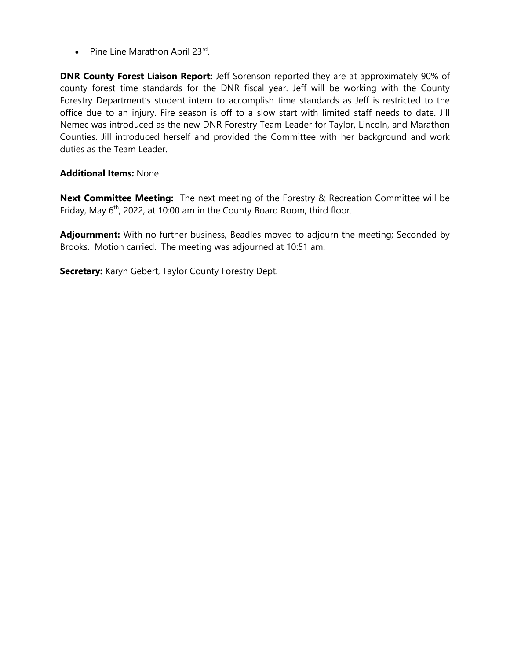• Pine Line Marathon April 23rd.

**DNR County Forest Liaison Report:** Jeff Sorenson reported they are at approximately 90% of county forest time standards for the DNR fiscal year. Jeff will be working with the County Forestry Department's student intern to accomplish time standards as Jeff is restricted to the office due to an injury. Fire season is off to a slow start with limited staff needs to date. Jill Nemec was introduced as the new DNR Forestry Team Leader for Taylor, Lincoln, and Marathon Counties. Jill introduced herself and provided the Committee with her background and work duties as the Team Leader.

#### **Additional Items:** None.

**Next Committee Meeting:** The next meeting of the Forestry & Recreation Committee will be Friday, May 6<sup>th</sup>, 2022, at 10:00 am in the County Board Room, third floor.

**Adjournment:** With no further business, Beadles moved to adjourn the meeting; Seconded by Brooks. Motion carried. The meeting was adjourned at 10:51 am.

**Secretary:** Karyn Gebert, Taylor County Forestry Dept.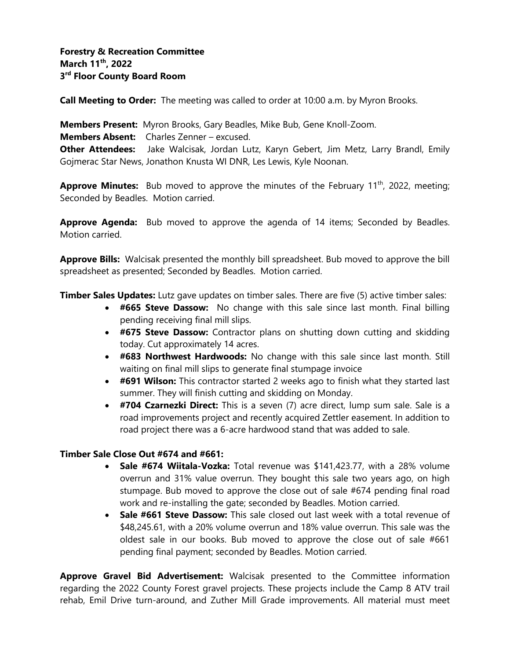**Call Meeting to Order:** The meeting was called to order at 10:00 a.m. by Myron Brooks.

**Members Present:** Myron Brooks, Gary Beadles, Mike Bub, Gene Knoll-Zoom. **Members Absent:** Charles Zenner – excused. **Other Attendees:** Jake Walcisak, Jordan Lutz, Karyn Gebert, Jim Metz, Larry Brandl, Emily Gojmerac Star News, Jonathon Knusta WI DNR, Les Lewis, Kyle Noonan.

**Approve Minutes:** Bub moved to approve the minutes of the February 11<sup>th</sup>, 2022, meeting; Seconded by Beadles. Motion carried.

**Approve Agenda:** Bub moved to approve the agenda of 14 items; Seconded by Beadles. Motion carried.

**Approve Bills:** Walcisak presented the monthly bill spreadsheet. Bub moved to approve the bill spreadsheet as presented; Seconded by Beadles. Motion carried.

**Timber Sales Updates:** Lutz gave updates on timber sales. There are five (5) active timber sales:

- **#665 Steve Dassow:** No change with this sale since last month. Final billing pending receiving final mill slips.
- **#675 Steve Dassow:** Contractor plans on shutting down cutting and skidding today. Cut approximately 14 acres.
- **#683 Northwest Hardwoods:** No change with this sale since last month. Still waiting on final mill slips to generate final stumpage invoice
- **#691 Wilson:** This contractor started 2 weeks ago to finish what they started last summer. They will finish cutting and skidding on Monday.
- **#704 Czarnezki Direct:** This is a seven (7) acre direct, lump sum sale. Sale is a road improvements project and recently acquired Zettler easement. In addition to road project there was a 6-acre hardwood stand that was added to sale.

## **Timber Sale Close Out #674 and #661:**

- **Sale #674 Wiitala-Vozka:** Total revenue was \$141,423.77, with a 28% volume overrun and 31% value overrun. They bought this sale two years ago, on high stumpage. Bub moved to approve the close out of sale #674 pending final road work and re-installing the gate; seconded by Beadles. Motion carried.
- **Sale #661 Steve Dassow:** This sale closed out last week with a total revenue of \$48,245.61, with a 20% volume overrun and 18% value overrun. This sale was the oldest sale in our books. Bub moved to approve the close out of sale #661 pending final payment; seconded by Beadles. Motion carried.

**Approve Gravel Bid Advertisement:** Walcisak presented to the Committee information regarding the 2022 County Forest gravel projects. These projects include the Camp 8 ATV trail rehab, Emil Drive turn-around, and Zuther Mill Grade improvements. All material must meet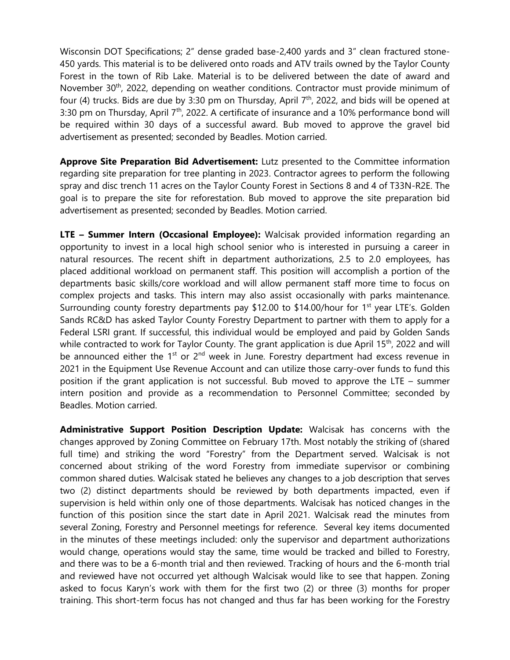Wisconsin DOT Specifications; 2" dense graded base-2,400 yards and 3" clean fractured stone-450 yards. This material is to be delivered onto roads and ATV trails owned by the Taylor County Forest in the town of Rib Lake. Material is to be delivered between the date of award and November 30<sup>th</sup>, 2022, depending on weather conditions. Contractor must provide minimum of four (4) trucks. Bids are due by 3:30 pm on Thursday, April  $7<sup>th</sup>$ , 2022, and bids will be opened at 3:30 pm on Thursday, April  $7<sup>th</sup>$ , 2022. A certificate of insurance and a 10% performance bond will be required within 30 days of a successful award. Bub moved to approve the gravel bid advertisement as presented; seconded by Beadles. Motion carried.

**Approve Site Preparation Bid Advertisement:** Lutz presented to the Committee information regarding site preparation for tree planting in 2023. Contractor agrees to perform the following spray and disc trench 11 acres on the Taylor County Forest in Sections 8 and 4 of T33N-R2E. The goal is to prepare the site for reforestation. Bub moved to approve the site preparation bid advertisement as presented; seconded by Beadles. Motion carried.

**LTE – Summer Intern (Occasional Employee):** Walcisak provided information regarding an opportunity to invest in a local high school senior who is interested in pursuing a career in natural resources. The recent shift in department authorizations, 2.5 to 2.0 employees, has placed additional workload on permanent staff. This position will accomplish a portion of the departments basic skills/core workload and will allow permanent staff more time to focus on complex projects and tasks. This intern may also assist occasionally with parks maintenance. Surrounding county forestry departments pay \$12.00 to \$14.00/hour for 1<sup>st</sup> year LTE's. Golden Sands RC&D has asked Taylor County Forestry Department to partner with them to apply for a Federal LSRI grant. If successful, this individual would be employed and paid by Golden Sands while contracted to work for Taylor County. The grant application is due April 15<sup>th</sup>, 2022 and will be announced either the  $1^{st}$  or  $2^{nd}$  week in June. Forestry department had excess revenue in 2021 in the Equipment Use Revenue Account and can utilize those carry-over funds to fund this position if the grant application is not successful. Bub moved to approve the LTE – summer intern position and provide as a recommendation to Personnel Committee; seconded by Beadles. Motion carried.

**Administrative Support Position Description Update:** Walcisak has concerns with the changes approved by Zoning Committee on February 17th. Most notably the striking of (shared full time) and striking the word "Forestry" from the Department served. Walcisak is not concerned about striking of the word Forestry from immediate supervisor or combining common shared duties. Walcisak stated he believes any changes to a job description that serves two (2) distinct departments should be reviewed by both departments impacted, even if supervision is held within only one of those departments. Walcisak has noticed changes in the function of this position since the start date in April 2021. Walcisak read the minutes from several Zoning, Forestry and Personnel meetings for reference. Several key items documented in the minutes of these meetings included: only the supervisor and department authorizations would change, operations would stay the same, time would be tracked and billed to Forestry, and there was to be a 6-month trial and then reviewed. Tracking of hours and the 6-month trial and reviewed have not occurred yet although Walcisak would like to see that happen. Zoning asked to focus Karyn's work with them for the first two (2) or three (3) months for proper training. This short-term focus has not changed and thus far has been working for the Forestry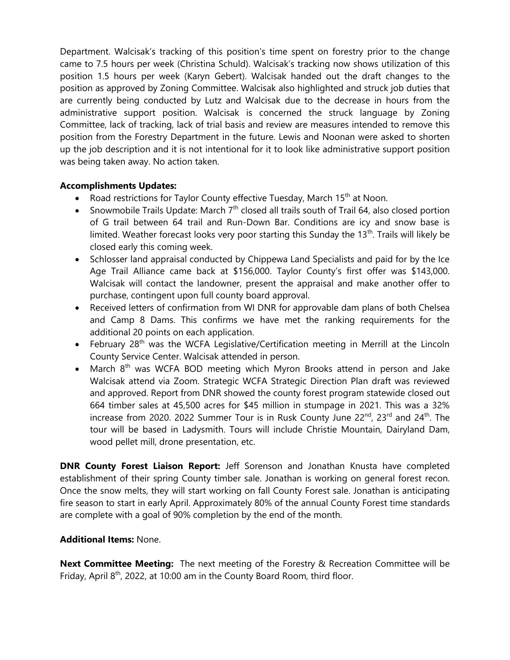Department. Walcisak's tracking of this position's time spent on forestry prior to the change came to 7.5 hours per week (Christina Schuld). Walcisak's tracking now shows utilization of this position 1.5 hours per week (Karyn Gebert). Walcisak handed out the draft changes to the position as approved by Zoning Committee. Walcisak also highlighted and struck job duties that are currently being conducted by Lutz and Walcisak due to the decrease in hours from the administrative support position. Walcisak is concerned the struck language by Zoning Committee, lack of tracking, lack of trial basis and review are measures intended to remove this position from the Forestry Department in the future. Lewis and Noonan were asked to shorten up the job description and it is not intentional for it to look like administrative support position was being taken away. No action taken.

## **Accomplishments Updates:**

- Road restrictions for Taylor County effective Tuesday, March 15<sup>th</sup> at Noon.
- Snowmobile Trails Update: March  $7<sup>th</sup>$  closed all trails south of Trail 64, also closed portion of G trail between 64 trail and Run-Down Bar. Conditions are icy and snow base is limited. Weather forecast looks very poor starting this Sunday the  $13<sup>th</sup>$ . Trails will likely be closed early this coming week.
- Schlosser land appraisal conducted by Chippewa Land Specialists and paid for by the Ice Age Trail Alliance came back at \$156,000. Taylor County's first offer was \$143,000. Walcisak will contact the landowner, present the appraisal and make another offer to purchase, contingent upon full county board approval.
- Received letters of confirmation from WI DNR for approvable dam plans of both Chelsea and Camp 8 Dams. This confirms we have met the ranking requirements for the additional 20 points on each application.
- February 28<sup>th</sup> was the WCFA Legislative/Certification meeting in Merrill at the Lincoln County Service Center. Walcisak attended in person.
- March 8<sup>th</sup> was WCFA BOD meeting which Myron Brooks attend in person and Jake Walcisak attend via Zoom. Strategic WCFA Strategic Direction Plan draft was reviewed and approved. Report from DNR showed the county forest program statewide closed out 664 timber sales at 45,500 acres for \$45 million in stumpage in 2021. This was a 32% increase from 2020. 2022 Summer Tour is in Rusk County June 22<sup>nd</sup>, 23<sup>rd</sup> and 24<sup>th</sup>. The tour will be based in Ladysmith. Tours will include Christie Mountain, Dairyland Dam, wood pellet mill, drone presentation, etc.

**DNR County Forest Liaison Report:** Jeff Sorenson and Jonathan Knusta have completed establishment of their spring County timber sale. Jonathan is working on general forest recon. Once the snow melts, they will start working on fall County Forest sale. Jonathan is anticipating fire season to start in early April. Approximately 80% of the annual County Forest time standards are complete with a goal of 90% completion by the end of the month.

#### **Additional Items:** None.

**Next Committee Meeting:** The next meeting of the Forestry & Recreation Committee will be Friday, April  $8<sup>th</sup>$ , 2022, at 10:00 am in the County Board Room, third floor.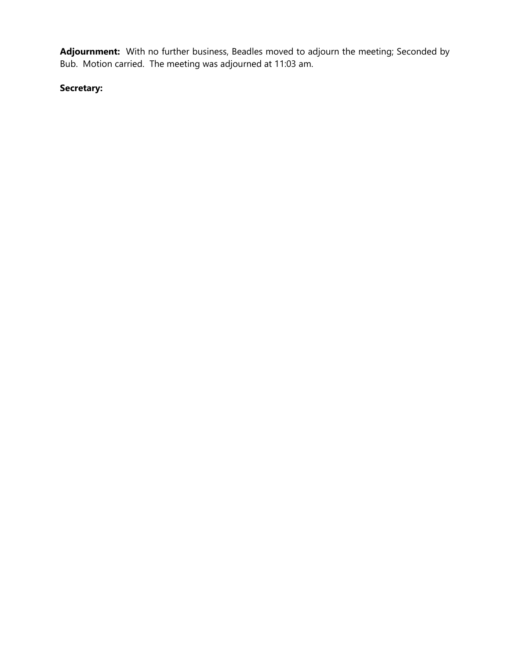**Adjournment:** With no further business, Beadles moved to adjourn the meeting; Seconded by Bub. Motion carried. The meeting was adjourned at 11:03 am.

# **Secretary:**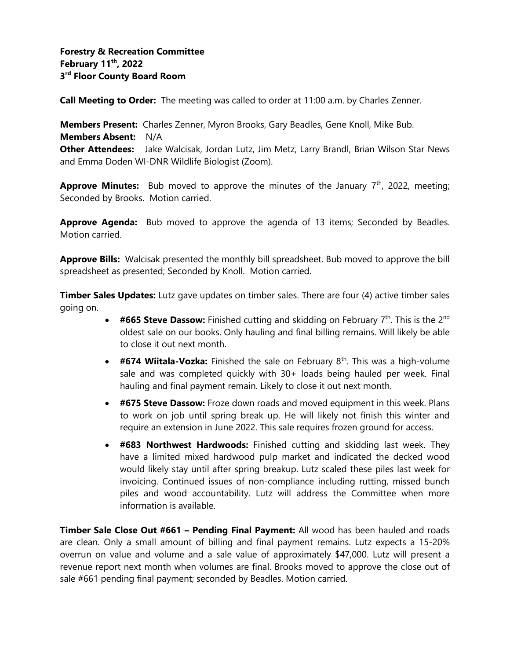**Call Meeting to Order:** The meeting was called to order at 11:00 a.m. by Charles Zenner.

**Members Present:** Charles Zenner, Myron Brooks, Gary Beadles, Gene Knoll, Mike Bub. **Members Absent:** N/A **Other Attendees:** Jake Walcisak, Jordan Lutz, Jim Metz, Larry Brandl, Brian Wilson Star News and Emma Doden WI-DNR Wildlife Biologist (Zoom).

**Approve Minutes:** Bub moved to approve the minutes of the January 7<sup>th</sup>, 2022, meeting; Seconded by Brooks. Motion carried.

**Approve Agenda:** Bub moved to approve the agenda of 13 items; Seconded by Beadles. Motion carried.

**Approve Bills:** Walcisak presented the monthly bill spreadsheet. Bub moved to approve the bill spreadsheet as presented; Seconded by Knoll. Motion carried.

**Timber Sales Updates:** Lutz gave updates on timber sales. There are four (4) active timber sales going on.

- $\#665$  Steve Dassow: Finished cutting and skidding on February  $7<sup>th</sup>$ . This is the 2<sup>nd</sup> oldest sale on our books. Only hauling and final billing remains. Will likely be able to close it out next month.
- #674 Wiitala-Vozka: Finished the sale on February 8<sup>th</sup>. This was a high-volume sale and was completed quickly with 30+ loads being hauled per week. Final hauling and final payment remain. Likely to close it out next month.
- **#675 Steve Dassow:** Froze down roads and moved equipment in this week. Plans to work on job until spring break up. He will likely not finish this winter and require an extension in June 2022. This sale requires frozen ground for access.
- **#683 Northwest Hardwoods:** Finished cutting and skidding last week. They have a limited mixed hardwood pulp market and indicated the decked wood would likely stay until after spring breakup. Lutz scaled these piles last week for invoicing. Continued issues of non-compliance including rutting, missed bunch piles and wood accountability. Lutz will address the Committee when more information is available.

**Timber Sale Close Out #661 – Pending Final Payment:** All wood has been hauled and roads are clean. Only a small amount of billing and final payment remains. Lutz expects a 15-20% overrun on value and volume and a sale value of approximately \$47,000. Lutz will present a revenue report next month when volumes are final. Brooks moved to approve the close out of sale #661 pending final payment; seconded by Beadles. Motion carried.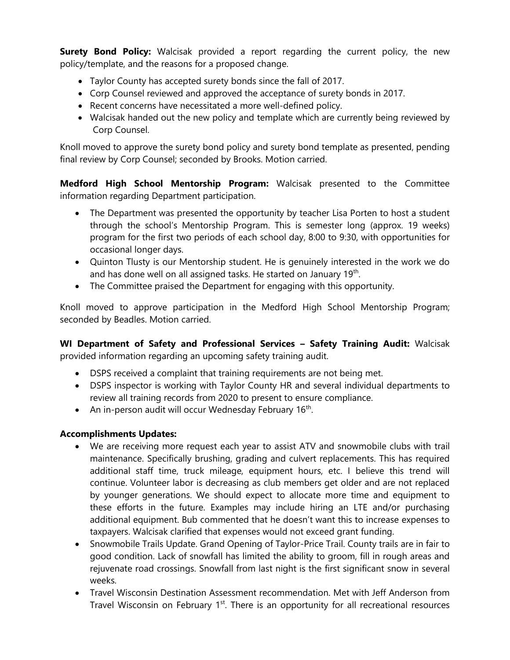**Surety Bond Policy:** Walcisak provided a report regarding the current policy, the new policy/template, and the reasons for a proposed change.

- Taylor County has accepted surety bonds since the fall of 2017.
- Corp Counsel reviewed and approved the acceptance of surety bonds in 2017.
- Recent concerns have necessitated a more well-defined policy.
- Walcisak handed out the new policy and template which are currently being reviewed by Corp Counsel.

Knoll moved to approve the surety bond policy and surety bond template as presented, pending final review by Corp Counsel; seconded by Brooks. Motion carried.

**Medford High School Mentorship Program:** Walcisak presented to the Committee information regarding Department participation.

- The Department was presented the opportunity by teacher Lisa Porten to host a student through the school's Mentorship Program. This is semester long (approx. 19 weeks) program for the first two periods of each school day, 8:00 to 9:30, with opportunities for occasional longer days.
- Quinton Tlusty is our Mentorship student. He is genuinely interested in the work we do and has done well on all assigned tasks. He started on January 19<sup>th</sup>.
- The Committee praised the Department for engaging with this opportunity.

Knoll moved to approve participation in the Medford High School Mentorship Program; seconded by Beadles. Motion carried.

**WI Department of Safety and Professional Services – Safety Training Audit:** Walcisak provided information regarding an upcoming safety training audit.

- DSPS received a complaint that training requirements are not being met.
- DSPS inspector is working with Taylor County HR and several individual departments to review all training records from 2020 to present to ensure compliance.
- An in-person audit will occur Wednesday February  $16<sup>th</sup>$ .

## **Accomplishments Updates:**

- We are receiving more request each year to assist ATV and snowmobile clubs with trail maintenance. Specifically brushing, grading and culvert replacements. This has required additional staff time, truck mileage, equipment hours, etc. I believe this trend will continue. Volunteer labor is decreasing as club members get older and are not replaced by younger generations. We should expect to allocate more time and equipment to these efforts in the future. Examples may include hiring an LTE and/or purchasing additional equipment. Bub commented that he doesn't want this to increase expenses to taxpayers. Walcisak clarified that expenses would not exceed grant funding.
- Snowmobile Trails Update. Grand Opening of Taylor-Price Trail. County trails are in fair to good condition. Lack of snowfall has limited the ability to groom, fill in rough areas and rejuvenate road crossings. Snowfall from last night is the first significant snow in several weeks.
- Travel Wisconsin Destination Assessment recommendation. Met with Jeff Anderson from Travel Wisconsin on February 1<sup>st</sup>. There is an opportunity for all recreational resources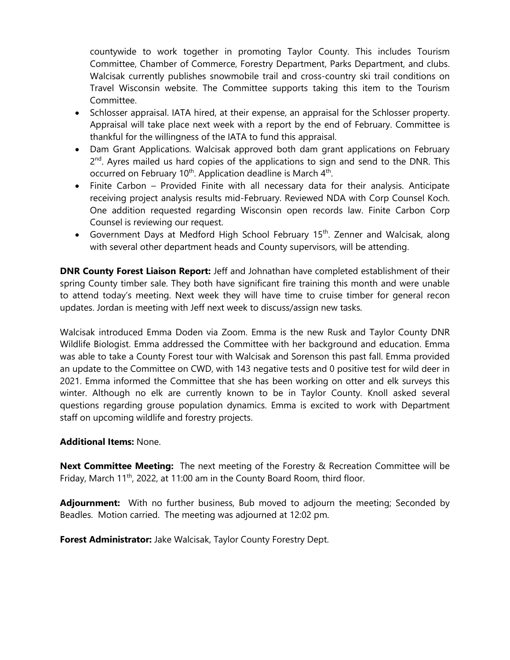countywide to work together in promoting Taylor County. This includes Tourism Committee, Chamber of Commerce, Forestry Department, Parks Department, and clubs. Walcisak currently publishes snowmobile trail and cross-country ski trail conditions on Travel Wisconsin website. The Committee supports taking this item to the Tourism Committee.

- Schlosser appraisal. IATA hired, at their expense, an appraisal for the Schlosser property. Appraisal will take place next week with a report by the end of February. Committee is thankful for the willingness of the IATA to fund this appraisal.
- Dam Grant Applications. Walcisak approved both dam grant applications on February 2<sup>nd</sup>. Ayres mailed us hard copies of the applications to sign and send to the DNR. This occurred on February 10<sup>th</sup>. Application deadline is March 4<sup>th</sup>.
- Finite Carbon Provided Finite with all necessary data for their analysis. Anticipate receiving project analysis results mid-February. Reviewed NDA with Corp Counsel Koch. One addition requested regarding Wisconsin open records law. Finite Carbon Corp Counsel is reviewing our request.
- Government Days at Medford High School February 15<sup>th</sup>. Zenner and Walcisak, along with several other department heads and County supervisors, will be attending.

**DNR County Forest Liaison Report:** Jeff and Johnathan have completed establishment of their spring County timber sale. They both have significant fire training this month and were unable to attend today's meeting. Next week they will have time to cruise timber for general recon updates. Jordan is meeting with Jeff next week to discuss/assign new tasks.

Walcisak introduced Emma Doden via Zoom. Emma is the new Rusk and Taylor County DNR Wildlife Biologist. Emma addressed the Committee with her background and education. Emma was able to take a County Forest tour with Walcisak and Sorenson this past fall. Emma provided an update to the Committee on CWD, with 143 negative tests and 0 positive test for wild deer in 2021. Emma informed the Committee that she has been working on otter and elk surveys this winter. Although no elk are currently known to be in Taylor County. Knoll asked several questions regarding grouse population dynamics. Emma is excited to work with Department staff on upcoming wildlife and forestry projects.

#### **Additional Items:** None.

**Next Committee Meeting:** The next meeting of the Forestry & Recreation Committee will be Friday, March 11<sup>th</sup>, 2022, at 11:00 am in the County Board Room, third floor.

**Adjournment:** With no further business, Bub moved to adjourn the meeting; Seconded by Beadles. Motion carried. The meeting was adjourned at 12:02 pm.

**Forest Administrator:** Jake Walcisak, Taylor County Forestry Dept.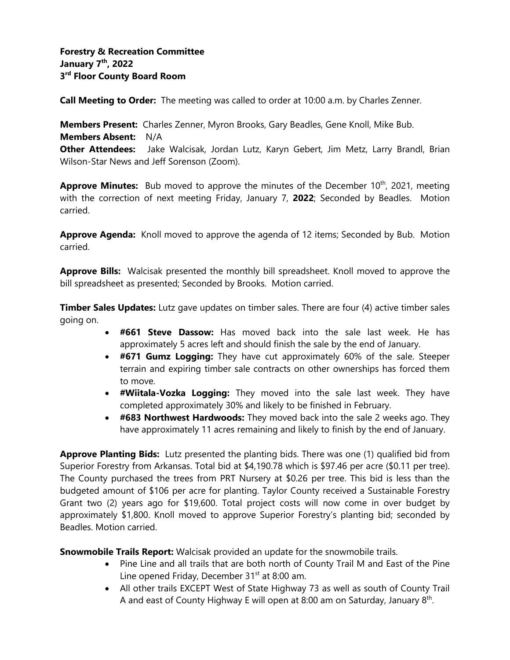**Call Meeting to Order:** The meeting was called to order at 10:00 a.m. by Charles Zenner.

**Members Present:** Charles Zenner, Myron Brooks, Gary Beadles, Gene Knoll, Mike Bub. **Members Absent:** N/A **Other Attendees:** Jake Walcisak, Jordan Lutz, Karyn Gebert, Jim Metz, Larry Brandl, Brian Wilson-Star News and Jeff Sorenson (Zoom).

Approve Minutes: Bub moved to approve the minutes of the December 10<sup>th</sup>, 2021, meeting with the correction of next meeting Friday, January 7, **2022**; Seconded by Beadles. Motion carried.

**Approve Agenda:** Knoll moved to approve the agenda of 12 items; Seconded by Bub. Motion carried.

**Approve Bills:** Walcisak presented the monthly bill spreadsheet. Knoll moved to approve the bill spreadsheet as presented; Seconded by Brooks. Motion carried.

**Timber Sales Updates:** Lutz gave updates on timber sales. There are four (4) active timber sales going on.

- **#661 Steve Dassow:** Has moved back into the sale last week. He has approximately 5 acres left and should finish the sale by the end of January.
- **#671 Gumz Logging:** They have cut approximately 60% of the sale. Steeper terrain and expiring timber sale contracts on other ownerships has forced them to move.
- **#Wiitala-Vozka Logging:** They moved into the sale last week. They have completed approximately 30% and likely to be finished in February.
- **#683 Northwest Hardwoods:** They moved back into the sale 2 weeks ago. They have approximately 11 acres remaining and likely to finish by the end of January.

**Approve Planting Bids:** Lutz presented the planting bids. There was one (1) qualified bid from Superior Forestry from Arkansas. Total bid at \$4,190.78 which is \$97.46 per acre (\$0.11 per tree). The County purchased the trees from PRT Nursery at \$0.26 per tree. This bid is less than the budgeted amount of \$106 per acre for planting. Taylor County received a Sustainable Forestry Grant two (2) years ago for \$19,600. Total project costs will now come in over budget by approximately \$1,800. Knoll moved to approve Superior Forestry's planting bid; seconded by Beadles. Motion carried.

**Snowmobile Trails Report:** Walcisak provided an update for the snowmobile trails.

- Pine Line and all trails that are both north of County Trail M and East of the Pine Line opened Friday, December 31<sup>st</sup> at 8:00 am.
- All other trails EXCEPT West of State Highway 73 as well as south of County Trail A and east of County Highway E will open at 8:00 am on Saturday, January 8<sup>th</sup>.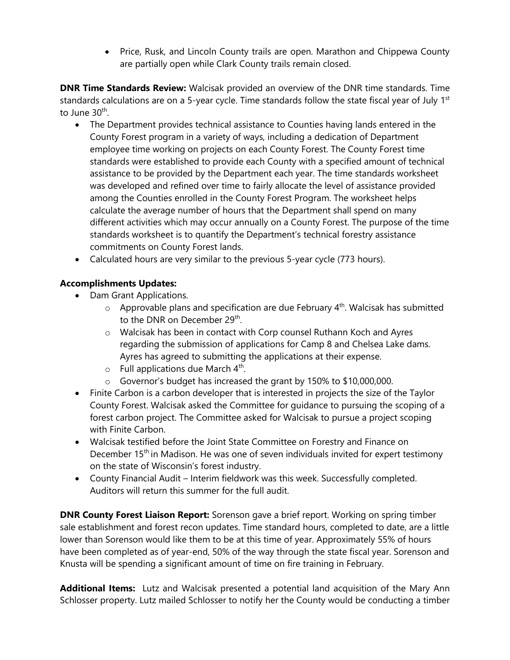• Price, Rusk, and Lincoln County trails are open. Marathon and Chippewa County are partially open while Clark County trails remain closed.

**DNR Time Standards Review:** Walcisak provided an overview of the DNR time standards. Time standards calculations are on a 5-year cycle. Time standards follow the state fiscal year of July 1<sup>st</sup> to June 30<sup>th</sup>.

- The Department provides technical assistance to Counties having lands entered in the County Forest program in a variety of ways, including a dedication of Department employee time working on projects on each County Forest. The County Forest time standards were established to provide each County with a specified amount of technical assistance to be provided by the Department each year. The time standards worksheet was developed and refined over time to fairly allocate the level of assistance provided among the Counties enrolled in the County Forest Program. The worksheet helps calculate the average number of hours that the Department shall spend on many different activities which may occur annually on a County Forest. The purpose of the time standards worksheet is to quantify the Department's technical forestry assistance commitments on County Forest lands.
- Calculated hours are very similar to the previous 5-year cycle (773 hours).

## **Accomplishments Updates:**

- Dam Grant Applications.
	- $\circ$  Approvable plans and specification are due February 4<sup>th</sup>. Walcisak has submitted to the DNR on December 29<sup>th</sup>.
	- o Walcisak has been in contact with Corp counsel Ruthann Koch and Ayres regarding the submission of applications for Camp 8 and Chelsea Lake dams. Ayres has agreed to submitting the applications at their expense.
	- $\circ$  Full applications due March 4<sup>th</sup>.
	- o Governor's budget has increased the grant by 150% to \$10,000,000.
- Finite Carbon is a carbon developer that is interested in projects the size of the Taylor County Forest. Walcisak asked the Committee for guidance to pursuing the scoping of a forest carbon project. The Committee asked for Walcisak to pursue a project scoping with Finite Carbon.
- Walcisak testified before the Joint State Committee on Forestry and Finance on December  $15<sup>th</sup>$  in Madison. He was one of seven individuals invited for expert testimony on the state of Wisconsin's forest industry.
- County Financial Audit Interim fieldwork was this week. Successfully completed. Auditors will return this summer for the full audit.

**DNR County Forest Liaison Report:** Sorenson gave a brief report. Working on spring timber sale establishment and forest recon updates. Time standard hours, completed to date, are a little lower than Sorenson would like them to be at this time of year. Approximately 55% of hours have been completed as of year-end, 50% of the way through the state fiscal year. Sorenson and Knusta will be spending a significant amount of time on fire training in February.

**Additional Items:** Lutz and Walcisak presented a potential land acquisition of the Mary Ann Schlosser property. Lutz mailed Schlosser to notify her the County would be conducting a timber